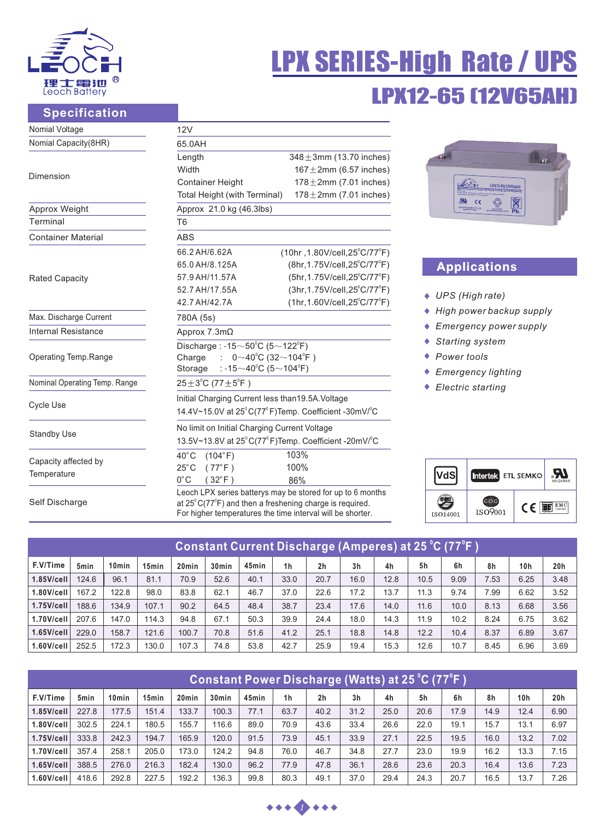

Self Discharge

# LPX12-65 (12V65AH) LPX SERIES-High Rate / UPS

# **Specification**

| Nomial Voltage                | 12V                                                                                                                 |                                                            |  |  |  |  |  |  |
|-------------------------------|---------------------------------------------------------------------------------------------------------------------|------------------------------------------------------------|--|--|--|--|--|--|
| Nomial Capacity(8HR)          | 65.0AH                                                                                                              |                                                            |  |  |  |  |  |  |
|                               | Length                                                                                                              | $348 \pm 3$ mm (13.70 inches)                              |  |  |  |  |  |  |
|                               | Width                                                                                                               | $167 \pm 2$ mm (6.57 inches)                               |  |  |  |  |  |  |
| Dimension                     | <b>Container Height</b>                                                                                             | $178 \pm 2$ mm (7.01 inches)                               |  |  |  |  |  |  |
|                               | $178 \pm 2$ mm (7.01 inches)<br>Total Height (with Terminal)                                                        |                                                            |  |  |  |  |  |  |
| Approx Weight                 | Approx 21.0 kg (46.3lbs)                                                                                            |                                                            |  |  |  |  |  |  |
| Terminal                      | T <sub>6</sub>                                                                                                      |                                                            |  |  |  |  |  |  |
| <b>Container Material</b>     | <b>ABS</b>                                                                                                          |                                                            |  |  |  |  |  |  |
|                               | 66.2 AH/6.62A                                                                                                       | $(10hr, 1.80V/cell, 25^{\circ}C/77^{\circ}F)$              |  |  |  |  |  |  |
|                               | 65.0 AH/8.125A                                                                                                      | $(8hr, 1.75V/cell, 25^{\circ}C/77^{\circ}F)$               |  |  |  |  |  |  |
| <b>Rated Capacity</b>         | 57.9 AH/11.57A                                                                                                      | (5hr, 1.75V/cell, 25°C/77°F)                               |  |  |  |  |  |  |
|                               | 52.7 AH/17.55A                                                                                                      | (3hr, 1.75V/cell, 25°C/77°F)                               |  |  |  |  |  |  |
|                               | 42.7 AH/42.7A                                                                                                       | $(1hr, 1.60V/cell, 25^{\circ}C/77^{\circ}F)$               |  |  |  |  |  |  |
| Max. Discharge Current        | 780A (5s)                                                                                                           |                                                            |  |  |  |  |  |  |
| <b>Internal Resistance</b>    | Approx 7.3mΩ                                                                                                        |                                                            |  |  |  |  |  |  |
| Operating Temp.Range          | Discharge: -15 $\sim$ 50 $^{\circ}$ C (5 $\sim$ 122 $^{\circ}$ F)<br>$0~10^{0}$ C (32~104 <sup>°</sup> F)<br>Charge |                                                            |  |  |  |  |  |  |
|                               | : -15 $\sim$ 40°C (5 $\sim$ 104°F)<br>Storage                                                                       |                                                            |  |  |  |  |  |  |
| Nominal Operating Temp. Range | $25 \pm 3^{\circ}$ C (77 $\pm 5^{\circ}$ F)                                                                         |                                                            |  |  |  |  |  |  |
|                               | Initial Charging Current less than19.5A. Voltage                                                                    |                                                            |  |  |  |  |  |  |
| <b>Cycle Use</b>              | 14.4V~15.0V at 25°C(77°F)Temp. Coefficient -30mV/°C                                                                 |                                                            |  |  |  |  |  |  |
|                               | No limit on Initial Charging Current Voltage                                                                        |                                                            |  |  |  |  |  |  |
| <b>Standby Use</b>            | 13.5V~13.8V at 25°C(77°F)Temp. Coefficient -20mV/°C                                                                 |                                                            |  |  |  |  |  |  |
|                               | $40^{\circ}$ C<br>(104°F)                                                                                           | 103%                                                       |  |  |  |  |  |  |
| Capacity affected by          | $25^{\circ}$ C<br>$(77^{\circ}F)$                                                                                   | 100%                                                       |  |  |  |  |  |  |
| Temperature                   | $0^{\circ}$ C<br>$(32^{\circ}F)$                                                                                    | 86%                                                        |  |  |  |  |  |  |
| Self Discharge                | at $25^{\circ}$ $C(77^{\circ}F)$ and then a freehening charge is required                                           | Leoch LPX series batterys may be stored for up to 6 months |  |  |  |  |  |  |

 $\left\{ \cdot \right\}$  and then a freshening charge For higher temperatures the time interval will be shorter.



# **Application Applications**

- *UPS (High rate)*
- *High power backup supply*
- *Emergency power supply*
- *Starting system*
- *Power tools*
- *Emergency lighting*
- *Electric starting*

|          | Intertek ETL SEMKO |            | MH26866         |
|----------|--------------------|------------|-----------------|
| ISO14001 | ISO9001            | $\epsilon$ | $EMC$<br>tested |

| Constant Current Discharge (Amperes) at 25 °C (77°F ) |                  |                   |                   |                   |                   |       |                |                |                |      |      |      |      |                 |      |
|-------------------------------------------------------|------------------|-------------------|-------------------|-------------------|-------------------|-------|----------------|----------------|----------------|------|------|------|------|-----------------|------|
| F.V/Time                                              | 5 <sub>min</sub> | 10 <sub>min</sub> | 15 <sub>min</sub> | 20 <sub>min</sub> | 30 <sub>min</sub> | 45min | 1 <sub>h</sub> | 2 <sub>h</sub> | 3 <sub>h</sub> | 4h   | 5h   | 6h   | 8h   | 10 <sub>h</sub> | 20h  |
| $1.85$ V/cell                                         | 124.6            | 96.1              | 81.1              | 70.9              | 52.6              | 40.1  | 33.0           | 20.7           | 16.0           | 12.8 | 10.5 | 9.09 | 7.53 | 6.25            | 3.48 |
| $1.80$ V/cell                                         | 167.2            | 122.8             | 98.0              | 83.8              | 62.1              | 46.7  | 37.0           | 22.6           | 17.2           | 13.7 | 11.3 | 9.74 | 7.99 | 6.62            | 3.52 |
| $1.75$ V/cell                                         | 188.6            | 134.9             | 107.1             | 90.2              | 64.5              | 48.4  | 38.7           | 23.4           | 17.6           | 14.0 | 11.6 | 10.0 | 8.13 | 6.68            | 3.56 |
| $1.70$ V/cell                                         | 207.6            | 147.0             | 114.3             | 94.8              | 67.1              | 50.3  | 39.9           | 24.4           | 18.0           | 14.3 | 11.9 | 10.2 | 8.24 | 6.75            | 3.62 |
| $1.65$ V/cell                                         | 229.0            | 158.7             | 121.6             | 100.7             | 70.8              | 51.6  | 41.2           | 25.1           | 18.8           | 14.8 | 12.2 | 10.4 | 8.37 | 6.89            | 3.67 |
| $1.60$ V/cell                                         | 252.5            | 172.3             | 130.0             | 107.3             | 74.8              | 53.8  | 42.7           | 25.9           | 19.4           | 15.3 | 12.6 | 10.7 | 8.45 | 6.96            | 3.69 |

| (Constant Power Discharge (Watts) at 25 °C (77°F ) |                  |                   |                   |                   |                   |       |                |                |                |      |      |      |      |      |      |
|----------------------------------------------------|------------------|-------------------|-------------------|-------------------|-------------------|-------|----------------|----------------|----------------|------|------|------|------|------|------|
| F.V/Time                                           | 5 <sub>min</sub> | 10 <sub>min</sub> | 15 <sub>min</sub> | 20 <sub>min</sub> | 30 <sub>min</sub> | 45min | 1 <sub>h</sub> | 2 <sub>h</sub> | 3 <sub>h</sub> | 4h   | 5h   | 6h   | 8h   | 10h  | 20h  |
| $1.85$ V/cell                                      | 227.8            | 177.5             | 151.4             | 133.7             | 100.3             | 77.1  | 63.7           | 40.2           | 31.2           | 25.0 | 20.6 | 17.9 | 14.9 | 12.4 | 6.90 |
| $1.80$ V/cell                                      | 302.5            | 224.1             | 180.5             | 155.7             | 116.6             | 89.0  | 70.9           | 43.6           | 33.4           | 26.6 | 22.0 | 19.1 | 15.7 | 13.1 | 6.97 |
| $1.75$ V/cell                                      | 333.8            | 242.3             | 194.7             | 165.9             | 120.0             | 91.5  | 73.9           | 45.1           | 33.9           | 27.1 | 22.5 | 19.5 | 16.0 | 13.2 | 7.02 |
| $1.70$ V/cell                                      | 357.4            | 258.1             | 205.0             | 173.0             | 124.2             | 94.8  | 76.0           | 46.7           | 34.8           | 27.7 | 23.0 | 19.9 | 16.2 | 13.3 | 7.15 |
| $1.65$ V/cell                                      | 388.5            | 276.0             | 216.3             | 182.4             | 130.0             | 96.2  | 77.9           | 47.8           | 36.1           | 28.6 | 23.6 | 20.3 | 16.4 | 13.6 | 7.23 |
| $1.60$ V/cell                                      | 418.6            | 292.8             | 227.5             | 192.2             | 136.3             | 99.8  | 80.3           | 49.1           | 37.0           | 29.4 | 24.3 | 20.7 | 16.5 | 13.7 | 7.26 |